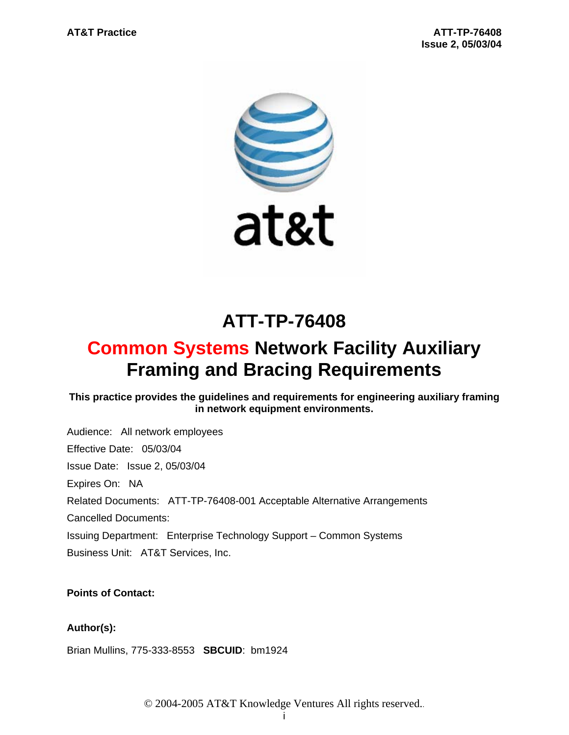

# **ATT-TP-76408**

# **Common Systems Network Facility Auxiliary Framing and Bracing Requirements**

# **This practice provides the guidelines and requirements for engineering auxiliary framing in network equipment environments.**

Audience: All network employees Effective Date: 05/03/04 Issue Date: Issue 2, 05/03/04 Expires On: NA Related Documents: ATT-TP-76408-001 Acceptable Alternative Arrangements Cancelled Documents: Issuing Department: Enterprise Technology Support – Common Systems Business Unit: AT&T Services, Inc.

# **Points of Contact:**

# **Author(s):**

Brian Mullins, 775-333-8553 **SBCUID**: bm1924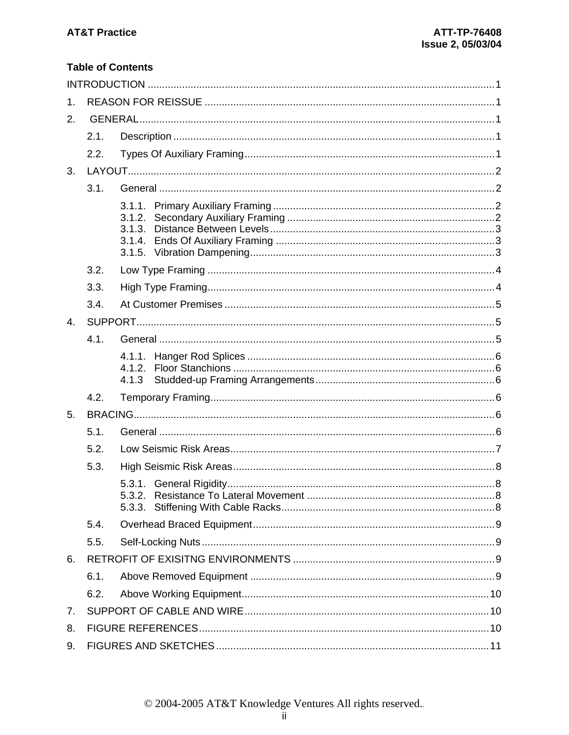# **Table of Contents**

| 1. |      |                            |  |  |  |  |
|----|------|----------------------------|--|--|--|--|
| 2. |      |                            |  |  |  |  |
|    | 2.1. |                            |  |  |  |  |
|    | 2.2. |                            |  |  |  |  |
| 3. |      |                            |  |  |  |  |
|    | 3.1. |                            |  |  |  |  |
|    |      | 3.1.2.<br>3.1.3.<br>3.1.4. |  |  |  |  |
|    | 3.2. |                            |  |  |  |  |
|    | 3.3. |                            |  |  |  |  |
|    | 3.4. |                            |  |  |  |  |
| 4. |      |                            |  |  |  |  |
|    | 4.1. |                            |  |  |  |  |
|    |      | 4.1.2.<br>4.1.3            |  |  |  |  |
|    | 4.2. |                            |  |  |  |  |
| 5. |      |                            |  |  |  |  |
|    | 5.1. |                            |  |  |  |  |
|    | 5.2. |                            |  |  |  |  |
|    | 5.3. |                            |  |  |  |  |
|    |      |                            |  |  |  |  |
|    | 5.4. |                            |  |  |  |  |
|    | 5.5. |                            |  |  |  |  |
| 6. |      |                            |  |  |  |  |
|    | 6.1. |                            |  |  |  |  |
|    | 6.2. |                            |  |  |  |  |
| 7. |      |                            |  |  |  |  |
| 8. |      |                            |  |  |  |  |
| 9. |      |                            |  |  |  |  |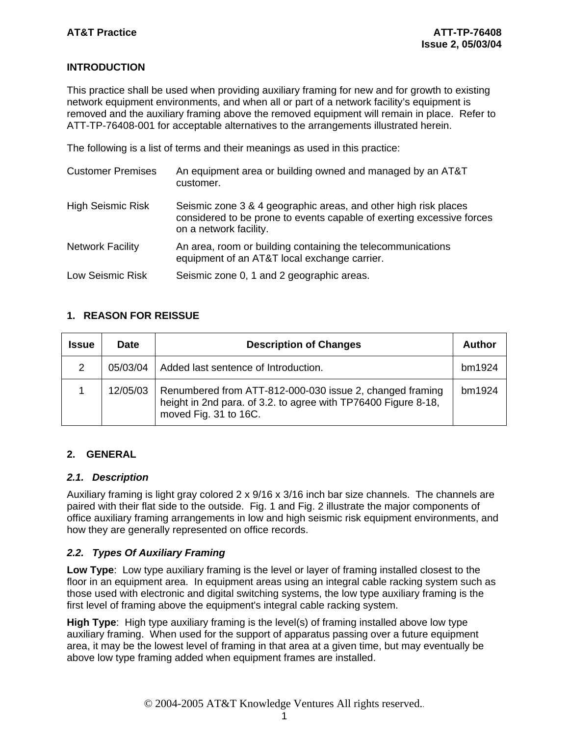# **INTRODUCTION**

This practice shall be used when providing auxiliary framing for new and for growth to existing network equipment environments, and when all or part of a network facility's equipment is removed and the auxiliary framing above the removed equipment will remain in place. Refer to ATT-TP-76408-001 for acceptable alternatives to the arrangements illustrated herein.

The following is a list of terms and their meanings as used in this practice:

| <b>Customer Premises</b> | An equipment area or building owned and managed by an AT&T<br>customer.                                                                                            |
|--------------------------|--------------------------------------------------------------------------------------------------------------------------------------------------------------------|
| <b>High Seismic Risk</b> | Seismic zone 3 & 4 geographic areas, and other high risk places<br>considered to be prone to events capable of exerting excessive forces<br>on a network facility. |
| <b>Network Facility</b>  | An area, room or building containing the telecommunications<br>equipment of an AT&T local exchange carrier.                                                        |
| <b>Low Seismic Risk</b>  | Seismic zone 0, 1 and 2 geographic areas.                                                                                                                          |

# **1. REASON FOR REISSUE**

| <b>Issue</b> | <b>Date</b> | <b>Description of Changes</b>                                                                                                                       | Author |
|--------------|-------------|-----------------------------------------------------------------------------------------------------------------------------------------------------|--------|
| 2            | 05/03/04    | Added last sentence of Introduction.                                                                                                                | bm1924 |
|              | 12/05/03    | Renumbered from ATT-812-000-030 issue 2, changed framing<br>height in 2nd para. of 3.2. to agree with TP76400 Figure 8-18,<br>moved Fig. 31 to 16C. | bm1924 |

# **2. GENERAL**

# *2.1. Description*

Auxiliary framing is light gray colored  $2 \times 9/16 \times 3/16$  inch bar size channels. The channels are paired with their flat side to the outside. Fig. 1 and Fig. 2 illustrate the major components of office auxiliary framing arrangements in low and high seismic risk equipment environments, and how they are generally represented on office records.

# *2.2. Types Of Auxiliary Framing*

**Low Type**: Low type auxiliary framing is the level or layer of framing installed closest to the floor in an equipment area. In equipment areas using an integral cable racking system such as those used with electronic and digital switching systems, the low type auxiliary framing is the first level of framing above the equipment's integral cable racking system.

**High Type**: High type auxiliary framing is the level(s) of framing installed above low type auxiliary framing. When used for the support of apparatus passing over a future equipment area, it may be the lowest level of framing in that area at a given time, but may eventually be above low type framing added when equipment frames are installed.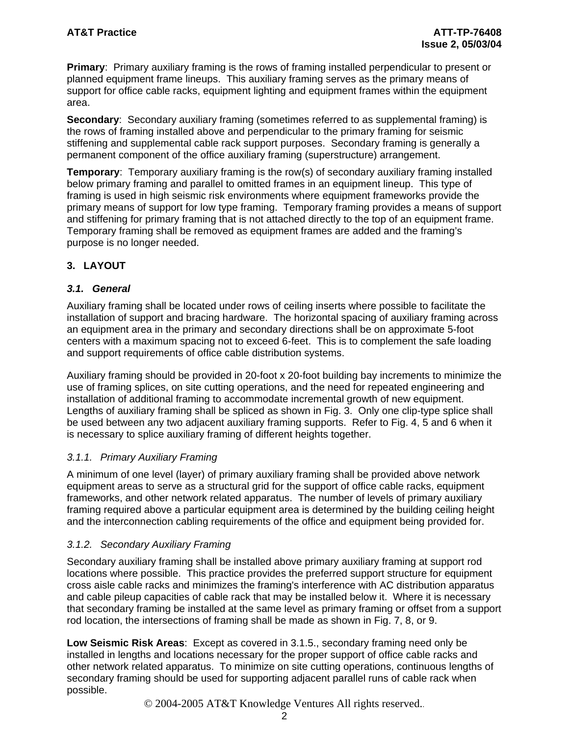**Primary**: Primary auxiliary framing is the rows of framing installed perpendicular to present or planned equipment frame lineups. This auxiliary framing serves as the primary means of support for office cable racks, equipment lighting and equipment frames within the equipment area.

**Secondary**: Secondary auxiliary framing (sometimes referred to as supplemental framing) is the rows of framing installed above and perpendicular to the primary framing for seismic stiffening and supplemental cable rack support purposes. Secondary framing is generally a permanent component of the office auxiliary framing (superstructure) arrangement.

**Temporary**: Temporary auxiliary framing is the row(s) of secondary auxiliary framing installed below primary framing and parallel to omitted frames in an equipment lineup. This type of framing is used in high seismic risk environments where equipment frameworks provide the primary means of support for low type framing. Temporary framing provides a means of support and stiffening for primary framing that is not attached directly to the top of an equipment frame. Temporary framing shall be removed as equipment frames are added and the framing's purpose is no longer needed.

# **3. LAYOUT**

# *3.1. General*

Auxiliary framing shall be located under rows of ceiling inserts where possible to facilitate the installation of support and bracing hardware. The horizontal spacing of auxiliary framing across an equipment area in the primary and secondary directions shall be on approximate 5-foot centers with a maximum spacing not to exceed 6-feet. This is to complement the safe loading and support requirements of office cable distribution systems.

Auxiliary framing should be provided in 20-foot x 20-foot building bay increments to minimize the use of framing splices, on site cutting operations, and the need for repeated engineering and installation of additional framing to accommodate incremental growth of new equipment. Lengths of auxiliary framing shall be spliced as shown in Fig. 3. Only one clip-type splice shall be used between any two adjacent auxiliary framing supports. Refer to Fig. 4, 5 and 6 when it is necessary to splice auxiliary framing of different heights together.

# *3.1.1. Primary Auxiliary Framing*

A minimum of one level (layer) of primary auxiliary framing shall be provided above network equipment areas to serve as a structural grid for the support of office cable racks, equipment frameworks, and other network related apparatus. The number of levels of primary auxiliary framing required above a particular equipment area is determined by the building ceiling height and the interconnection cabling requirements of the office and equipment being provided for.

# *3.1.2. Secondary Auxiliary Framing*

Secondary auxiliary framing shall be installed above primary auxiliary framing at support rod locations where possible. This practice provides the preferred support structure for equipment cross aisle cable racks and minimizes the framing's interference with AC distribution apparatus and cable pileup capacities of cable rack that may be installed below it. Where it is necessary that secondary framing be installed at the same level as primary framing or offset from a support rod location, the intersections of framing shall be made as shown in Fig. 7, 8, or 9.

**Low Seismic Risk Areas**: Except as covered in 3.1.5., secondary framing need only be installed in lengths and locations necessary for the proper support of office cable racks and other network related apparatus. To minimize on site cutting operations, continuous lengths of secondary framing should be used for supporting adjacent parallel runs of cable rack when possible.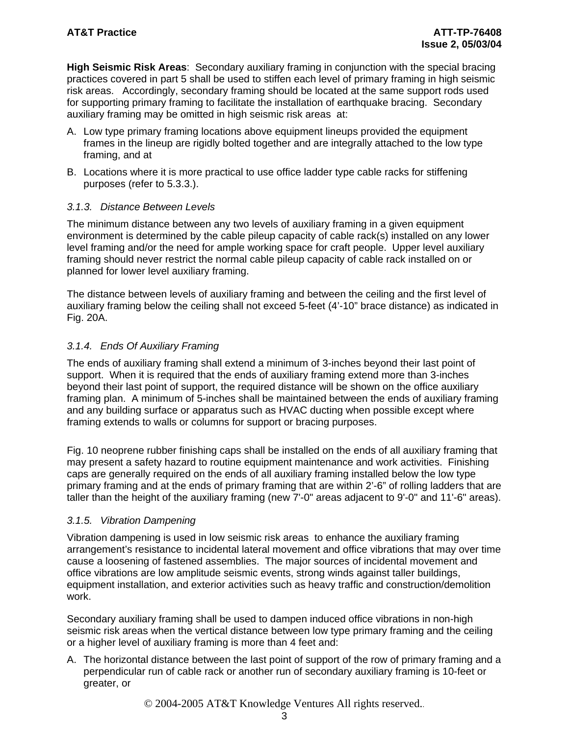**High Seismic Risk Areas**: Secondary auxiliary framing in conjunction with the special bracing practices covered in part 5 shall be used to stiffen each level of primary framing in high seismic risk areas. Accordingly, secondary framing should be located at the same support rods used for supporting primary framing to facilitate the installation of earthquake bracing. Secondary auxiliary framing may be omitted in high seismic risk areas at:

- A. Low type primary framing locations above equipment lineups provided the equipment frames in the lineup are rigidly bolted together and are integrally attached to the low type framing, and at
- B. Locations where it is more practical to use office ladder type cable racks for stiffening purposes (refer to 5.3.3.).

### *3.1.3. Distance Between Levels*

The minimum distance between any two levels of auxiliary framing in a given equipment environment is determined by the cable pileup capacity of cable rack(s) installed on any lower level framing and/or the need for ample working space for craft people. Upper level auxiliary framing should never restrict the normal cable pileup capacity of cable rack installed on or planned for lower level auxiliary framing.

The distance between levels of auxiliary framing and between the ceiling and the first level of auxiliary framing below the ceiling shall not exceed 5-feet (4'-10" brace distance) as indicated in Fig. 20A.

# *3.1.4. Ends Of Auxiliary Framing*

The ends of auxiliary framing shall extend a minimum of 3-inches beyond their last point of support. When it is required that the ends of auxiliary framing extend more than 3-inches beyond their last point of support, the required distance will be shown on the office auxiliary framing plan. A minimum of 5-inches shall be maintained between the ends of auxiliary framing and any building surface or apparatus such as HVAC ducting when possible except where framing extends to walls or columns for support or bracing purposes.

Fig. 10 neoprene rubber finishing caps shall be installed on the ends of all auxiliary framing that may present a safety hazard to routine equipment maintenance and work activities. Finishing caps are generally required on the ends of all auxiliary framing installed below the low type primary framing and at the ends of primary framing that are within 2'-6" of rolling ladders that are taller than the height of the auxiliary framing (new 7'-0" areas adjacent to 9'-0" and 11'-6" areas).

# *3.1.5. Vibration Dampening*

Vibration dampening is used in low seismic risk areas to enhance the auxiliary framing arrangement's resistance to incidental lateral movement and office vibrations that may over time cause a loosening of fastened assemblies. The major sources of incidental movement and office vibrations are low amplitude seismic events, strong winds against taller buildings, equipment installation, and exterior activities such as heavy traffic and construction/demolition work.

Secondary auxiliary framing shall be used to dampen induced office vibrations in non-high seismic risk areas when the vertical distance between low type primary framing and the ceiling or a higher level of auxiliary framing is more than 4 feet and:

A. The horizontal distance between the last point of support of the row of primary framing and a perpendicular run of cable rack or another run of secondary auxiliary framing is 10-feet or greater, or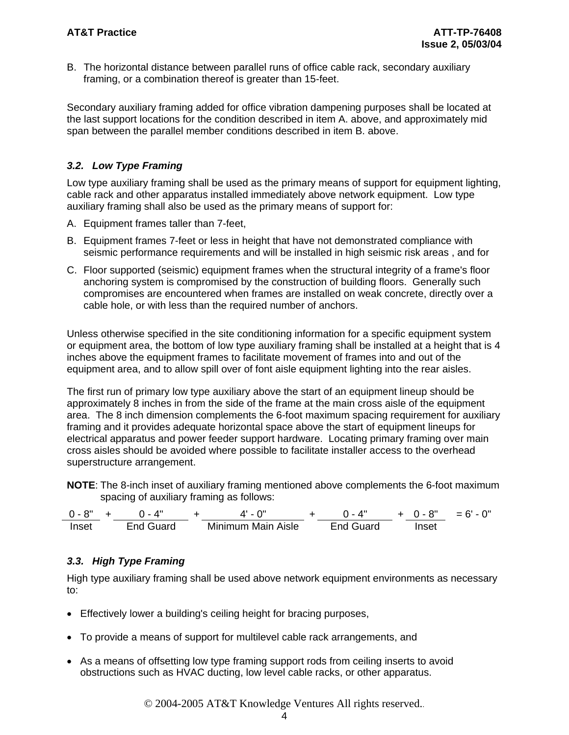B. The horizontal distance between parallel runs of office cable rack, secondary auxiliary framing, or a combination thereof is greater than 15-feet.

Secondary auxiliary framing added for office vibration dampening purposes shall be located at the last support locations for the condition described in item A. above, and approximately mid span between the parallel member conditions described in item B. above.

# *3.2. Low Type Framing*

Low type auxiliary framing shall be used as the primary means of support for equipment lighting, cable rack and other apparatus installed immediately above network equipment. Low type auxiliary framing shall also be used as the primary means of support for:

- A. Equipment frames taller than 7-feet,
- B. Equipment frames 7-feet or less in height that have not demonstrated compliance with seismic performance requirements and will be installed in high seismic risk areas , and for
- C. Floor supported (seismic) equipment frames when the structural integrity of a frame's floor anchoring system is compromised by the construction of building floors. Generally such compromises are encountered when frames are installed on weak concrete, directly over a cable hole, or with less than the required number of anchors.

Unless otherwise specified in the site conditioning information for a specific equipment system or equipment area, the bottom of low type auxiliary framing shall be installed at a height that is 4 inches above the equipment frames to facilitate movement of frames into and out of the equipment area, and to allow spill over of font aisle equipment lighting into the rear aisles.

The first run of primary low type auxiliary above the start of an equipment lineup should be approximately 8 inches in from the side of the frame at the main cross aisle of the equipment area. The 8 inch dimension complements the 6-foot maximum spacing requirement for auxiliary framing and it provides adequate horizontal space above the start of equipment lineups for electrical apparatus and power feeder support hardware. Locating primary framing over main cross aisles should be avoided where possible to facilitate installer access to the overhead superstructure arrangement.

**NOTE**: The 8-inch inset of auxiliary framing mentioned above complements the 6-foot maximum spacing of auxiliary framing as follows:

0 - 8" + 0 - 4" + 4' - 0" + 0 - 4" + 0 - 8" = 6' - 0" Inset End Guard Minimum Main Aisle End Guard Inset

# *3.3. High Type Framing*

High type auxiliary framing shall be used above network equipment environments as necessary to:

- Effectively lower a building's ceiling height for bracing purposes,
- To provide a means of support for multilevel cable rack arrangements, and
- As a means of offsetting low type framing support rods from ceiling inserts to avoid obstructions such as HVAC ducting, low level cable racks, or other apparatus.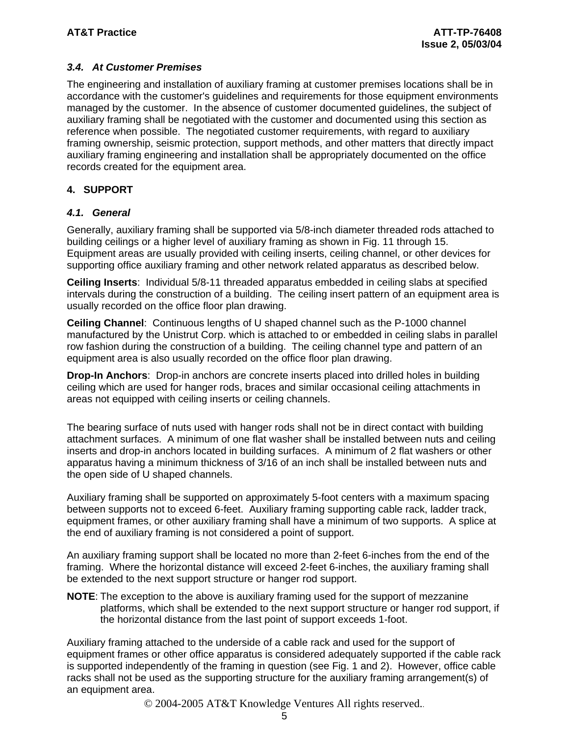# *3.4. At Customer Premises*

The engineering and installation of auxiliary framing at customer premises locations shall be in accordance with the customer's guidelines and requirements for those equipment environments managed by the customer. In the absence of customer documented guidelines, the subject of auxiliary framing shall be negotiated with the customer and documented using this section as reference when possible. The negotiated customer requirements, with regard to auxiliary framing ownership, seismic protection, support methods, and other matters that directly impact auxiliary framing engineering and installation shall be appropriately documented on the office records created for the equipment area.

# **4. SUPPORT**

# *4.1. General*

Generally, auxiliary framing shall be supported via 5/8-inch diameter threaded rods attached to building ceilings or a higher level of auxiliary framing as shown in Fig. 11 through 15. Equipment areas are usually provided with ceiling inserts, ceiling channel, or other devices for supporting office auxiliary framing and other network related apparatus as described below.

**Ceiling Inserts**: Individual 5/8-11 threaded apparatus embedded in ceiling slabs at specified intervals during the construction of a building. The ceiling insert pattern of an equipment area is usually recorded on the office floor plan drawing.

**Ceiling Channel**: Continuous lengths of U shaped channel such as the P-1000 channel manufactured by the Unistrut Corp. which is attached to or embedded in ceiling slabs in parallel row fashion during the construction of a building. The ceiling channel type and pattern of an equipment area is also usually recorded on the office floor plan drawing.

**Drop-In Anchors**: Drop-in anchors are concrete inserts placed into drilled holes in building ceiling which are used for hanger rods, braces and similar occasional ceiling attachments in areas not equipped with ceiling inserts or ceiling channels.

The bearing surface of nuts used with hanger rods shall not be in direct contact with building attachment surfaces. A minimum of one flat washer shall be installed between nuts and ceiling inserts and drop-in anchors located in building surfaces. A minimum of 2 flat washers or other apparatus having a minimum thickness of 3/16 of an inch shall be installed between nuts and the open side of U shaped channels.

Auxiliary framing shall be supported on approximately 5-foot centers with a maximum spacing between supports not to exceed 6-feet. Auxiliary framing supporting cable rack, ladder track, equipment frames, or other auxiliary framing shall have a minimum of two supports. A splice at the end of auxiliary framing is not considered a point of support.

An auxiliary framing support shall be located no more than 2-feet 6-inches from the end of the framing. Where the horizontal distance will exceed 2-feet 6-inches, the auxiliary framing shall be extended to the next support structure or hanger rod support.

**NOTE**: The exception to the above is auxiliary framing used for the support of mezzanine platforms, which shall be extended to the next support structure or hanger rod support, if the horizontal distance from the last point of support exceeds 1-foot.

Auxiliary framing attached to the underside of a cable rack and used for the support of equipment frames or other office apparatus is considered adequately supported if the cable rack is supported independently of the framing in question (see Fig. 1 and 2). However, office cable racks shall not be used as the supporting structure for the auxiliary framing arrangement(s) of an equipment area.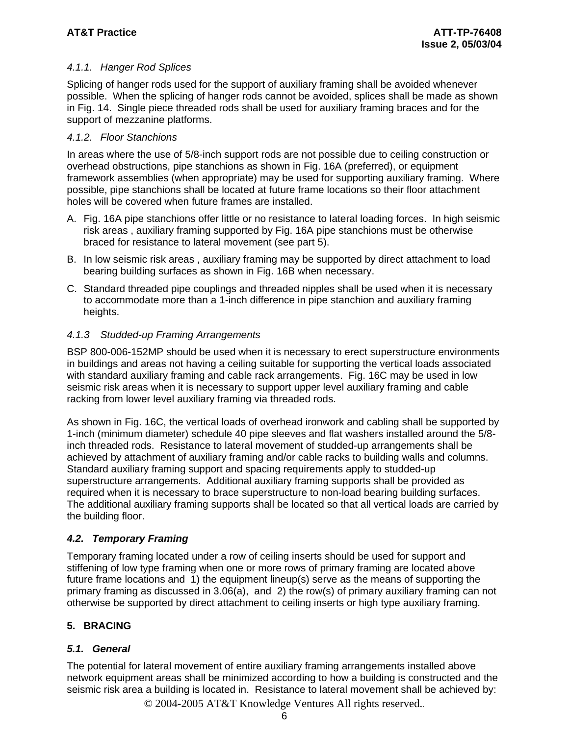# *4.1.1. Hanger Rod Splices*

Splicing of hanger rods used for the support of auxiliary framing shall be avoided whenever possible. When the splicing of hanger rods cannot be avoided, splices shall be made as shown in Fig. 14. Single piece threaded rods shall be used for auxiliary framing braces and for the support of mezzanine platforms.

## *4.1.2. Floor Stanchions*

In areas where the use of 5/8-inch support rods are not possible due to ceiling construction or overhead obstructions, pipe stanchions as shown in Fig. 16A (preferred), or equipment framework assemblies (when appropriate) may be used for supporting auxiliary framing. Where possible, pipe stanchions shall be located at future frame locations so their floor attachment holes will be covered when future frames are installed.

- A. Fig. 16A pipe stanchions offer little or no resistance to lateral loading forces. In high seismic risk areas , auxiliary framing supported by Fig. 16A pipe stanchions must be otherwise braced for resistance to lateral movement (see part 5).
- B. In low seismic risk areas , auxiliary framing may be supported by direct attachment to load bearing building surfaces as shown in Fig. 16B when necessary.
- C. Standard threaded pipe couplings and threaded nipples shall be used when it is necessary to accommodate more than a 1-inch difference in pipe stanchion and auxiliary framing heights.

# *4.1.3 Studded-up Framing Arrangements*

BSP 800-006-152MP should be used when it is necessary to erect superstructure environments in buildings and areas not having a ceiling suitable for supporting the vertical loads associated with standard auxiliary framing and cable rack arrangements. Fig. 16C may be used in low seismic risk areas when it is necessary to support upper level auxiliary framing and cable racking from lower level auxiliary framing via threaded rods.

As shown in Fig. 16C, the vertical loads of overhead ironwork and cabling shall be supported by 1-inch (minimum diameter) schedule 40 pipe sleeves and flat washers installed around the 5/8 inch threaded rods. Resistance to lateral movement of studded-up arrangements shall be achieved by attachment of auxiliary framing and/or cable racks to building walls and columns. Standard auxiliary framing support and spacing requirements apply to studded-up superstructure arrangements. Additional auxiliary framing supports shall be provided as required when it is necessary to brace superstructure to non-load bearing building surfaces. The additional auxiliary framing supports shall be located so that all vertical loads are carried by the building floor.

# *4.2. Temporary Framing*

Temporary framing located under a row of ceiling inserts should be used for support and stiffening of low type framing when one or more rows of primary framing are located above future frame locations and 1) the equipment lineup(s) serve as the means of supporting the primary framing as discussed in 3.06(a), and 2) the row(s) of primary auxiliary framing can not otherwise be supported by direct attachment to ceiling inserts or high type auxiliary framing.

# **5. BRACING**

# *5.1. General*

The potential for lateral movement of entire auxiliary framing arrangements installed above network equipment areas shall be minimized according to how a building is constructed and the seismic risk area a building is located in. Resistance to lateral movement shall be achieved by: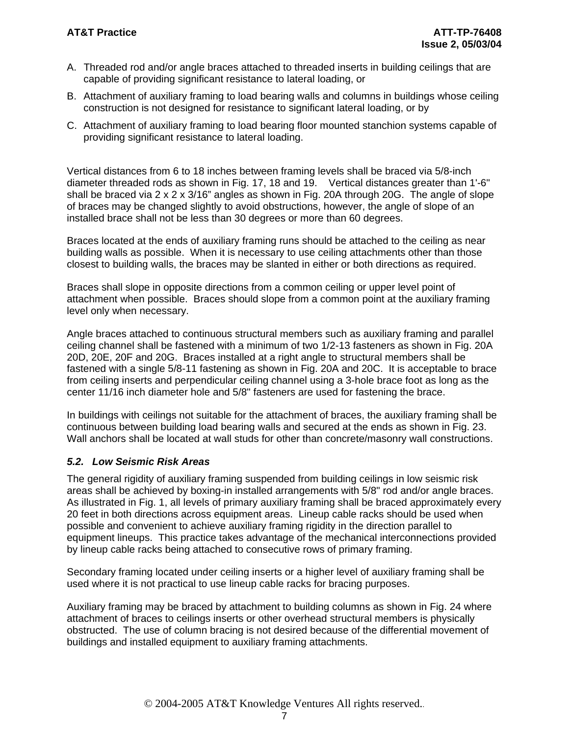- A. Threaded rod and/or angle braces attached to threaded inserts in building ceilings that are capable of providing significant resistance to lateral loading, or
- B. Attachment of auxiliary framing to load bearing walls and columns in buildings whose ceiling construction is not designed for resistance to significant lateral loading, or by
- C. Attachment of auxiliary framing to load bearing floor mounted stanchion systems capable of providing significant resistance to lateral loading.

Vertical distances from 6 to 18 inches between framing levels shall be braced via 5/8-inch diameter threaded rods as shown in Fig. 17, 18 and 19. Vertical distances greater than 1'-6" shall be braced via 2 x 2 x 3/16" angles as shown in Fig. 20A through 20G. The angle of slope of braces may be changed slightly to avoid obstructions, however, the angle of slope of an installed brace shall not be less than 30 degrees or more than 60 degrees.

Braces located at the ends of auxiliary framing runs should be attached to the ceiling as near building walls as possible. When it is necessary to use ceiling attachments other than those closest to building walls, the braces may be slanted in either or both directions as required.

Braces shall slope in opposite directions from a common ceiling or upper level point of attachment when possible. Braces should slope from a common point at the auxiliary framing level only when necessary.

Angle braces attached to continuous structural members such as auxiliary framing and parallel ceiling channel shall be fastened with a minimum of two 1/2-13 fasteners as shown in Fig. 20A 20D, 20E, 20F and 20G. Braces installed at a right angle to structural members shall be fastened with a single 5/8-11 fastening as shown in Fig. 20A and 20C. It is acceptable to brace from ceiling inserts and perpendicular ceiling channel using a 3-hole brace foot as long as the center 11/16 inch diameter hole and 5/8" fasteners are used for fastening the brace.

In buildings with ceilings not suitable for the attachment of braces, the auxiliary framing shall be continuous between building load bearing walls and secured at the ends as shown in Fig. 23. Wall anchors shall be located at wall studs for other than concrete/masonry wall constructions.

# *5.2. Low Seismic Risk Areas*

The general rigidity of auxiliary framing suspended from building ceilings in low seismic risk areas shall be achieved by boxing-in installed arrangements with 5/8" rod and/or angle braces. As illustrated in Fig. 1, all levels of primary auxiliary framing shall be braced approximately every 20 feet in both directions across equipment areas. Lineup cable racks should be used when possible and convenient to achieve auxiliary framing rigidity in the direction parallel to equipment lineups. This practice takes advantage of the mechanical interconnections provided by lineup cable racks being attached to consecutive rows of primary framing.

Secondary framing located under ceiling inserts or a higher level of auxiliary framing shall be used where it is not practical to use lineup cable racks for bracing purposes.

Auxiliary framing may be braced by attachment to building columns as shown in Fig. 24 where attachment of braces to ceilings inserts or other overhead structural members is physically obstructed. The use of column bracing is not desired because of the differential movement of buildings and installed equipment to auxiliary framing attachments.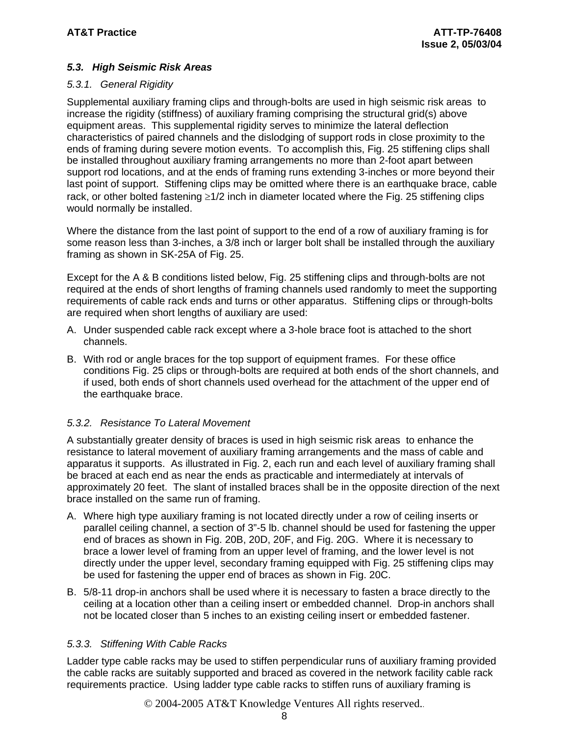# *5.3. High Seismic Risk Areas*

#### *5.3.1. General Rigidity*

Supplemental auxiliary framing clips and through-bolts are used in high seismic risk areas to increase the rigidity (stiffness) of auxiliary framing comprising the structural grid(s) above equipment areas. This supplemental rigidity serves to minimize the lateral deflection characteristics of paired channels and the dislodging of support rods in close proximity to the ends of framing during severe motion events. To accomplish this, Fig. 25 stiffening clips shall be installed throughout auxiliary framing arrangements no more than 2-foot apart between support rod locations, and at the ends of framing runs extending 3-inches or more beyond their last point of support. Stiffening clips may be omitted where there is an earthquake brace, cable rack, or other bolted fastening ≥1/2 inch in diameter located where the Fig. 25 stiffening clips would normally be installed.

Where the distance from the last point of support to the end of a row of auxiliary framing is for some reason less than 3-inches, a 3/8 inch or larger bolt shall be installed through the auxiliary framing as shown in SK-25A of Fig. 25.

Except for the A & B conditions listed below, Fig. 25 stiffening clips and through-bolts are not required at the ends of short lengths of framing channels used randomly to meet the supporting requirements of cable rack ends and turns or other apparatus. Stiffening clips or through-bolts are required when short lengths of auxiliary are used:

- A. Under suspended cable rack except where a 3-hole brace foot is attached to the short channels.
- B. With rod or angle braces for the top support of equipment frames. For these office conditions Fig. 25 clips or through-bolts are required at both ends of the short channels, and if used, both ends of short channels used overhead for the attachment of the upper end of the earthquake brace.

# *5.3.2. Resistance To Lateral Movement*

A substantially greater density of braces is used in high seismic risk areas to enhance the resistance to lateral movement of auxiliary framing arrangements and the mass of cable and apparatus it supports. As illustrated in Fig. 2, each run and each level of auxiliary framing shall be braced at each end as near the ends as practicable and intermediately at intervals of approximately 20 feet. The slant of installed braces shall be in the opposite direction of the next brace installed on the same run of framing.

- A. Where high type auxiliary framing is not located directly under a row of ceiling inserts or parallel ceiling channel, a section of 3"-5 lb. channel should be used for fastening the upper end of braces as shown in Fig. 20B, 20D, 20F, and Fig. 20G. Where it is necessary to brace a lower level of framing from an upper level of framing, and the lower level is not directly under the upper level, secondary framing equipped with Fig. 25 stiffening clips may be used for fastening the upper end of braces as shown in Fig. 20C.
- B. 5/8-11 drop-in anchors shall be used where it is necessary to fasten a brace directly to the ceiling at a location other than a ceiling insert or embedded channel. Drop-in anchors shall not be located closer than 5 inches to an existing ceiling insert or embedded fastener.

# *5.3.3. Stiffening With Cable Racks*

Ladder type cable racks may be used to stiffen perpendicular runs of auxiliary framing provided the cable racks are suitably supported and braced as covered in the network facility cable rack requirements practice. Using ladder type cable racks to stiffen runs of auxiliary framing is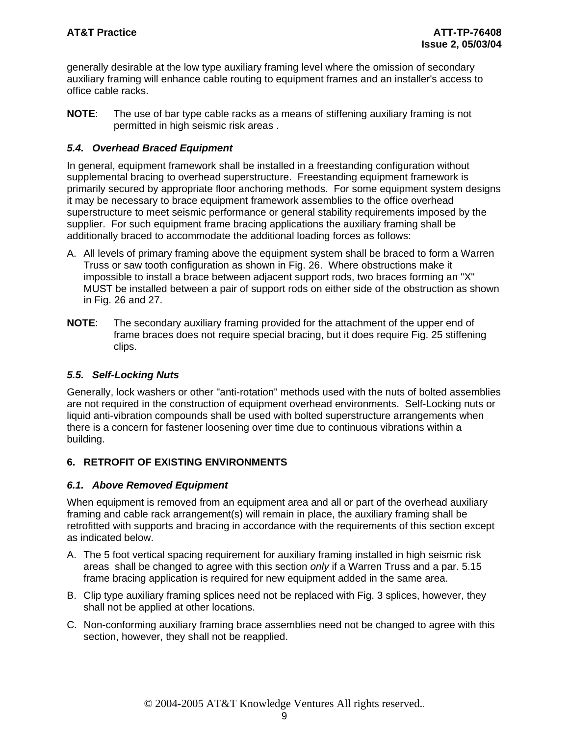generally desirable at the low type auxiliary framing level where the omission of secondary auxiliary framing will enhance cable routing to equipment frames and an installer's access to office cable racks.

**NOTE**: The use of bar type cable racks as a means of stiffening auxiliary framing is not permitted in high seismic risk areas .

# *5.4. Overhead Braced Equipment*

In general, equipment framework shall be installed in a freestanding configuration without supplemental bracing to overhead superstructure. Freestanding equipment framework is primarily secured by appropriate floor anchoring methods. For some equipment system designs it may be necessary to brace equipment framework assemblies to the office overhead superstructure to meet seismic performance or general stability requirements imposed by the supplier. For such equipment frame bracing applications the auxiliary framing shall be additionally braced to accommodate the additional loading forces as follows:

- A. All levels of primary framing above the equipment system shall be braced to form a Warren Truss or saw tooth configuration as shown in Fig. 26. Where obstructions make it impossible to install a brace between adjacent support rods, two braces forming an "X" MUST be installed between a pair of support rods on either side of the obstruction as shown in Fig. 26 and 27.
- **NOTE**: The secondary auxiliary framing provided for the attachment of the upper end of frame braces does not require special bracing, but it does require Fig. 25 stiffening clips.

# *5.5. Self-Locking Nuts*

Generally, lock washers or other "anti-rotation" methods used with the nuts of bolted assemblies are not required in the construction of equipment overhead environments. Self-Locking nuts or liquid anti-vibration compounds shall be used with bolted superstructure arrangements when there is a concern for fastener loosening over time due to continuous vibrations within a building.

# **6. RETROFIT OF EXISTING ENVIRONMENTS**

#### *6.1. Above Removed Equipment*

When equipment is removed from an equipment area and all or part of the overhead auxiliary framing and cable rack arrangement(s) will remain in place, the auxiliary framing shall be retrofitted with supports and bracing in accordance with the requirements of this section except as indicated below.

- A. The 5 foot vertical spacing requirement for auxiliary framing installed in high seismic risk areas shall be changed to agree with this section *only* if a Warren Truss and a par. 5.15 frame bracing application is required for new equipment added in the same area.
- B. Clip type auxiliary framing splices need not be replaced with Fig. 3 splices, however, they shall not be applied at other locations.
- C. Non-conforming auxiliary framing brace assemblies need not be changed to agree with this section, however, they shall not be reapplied.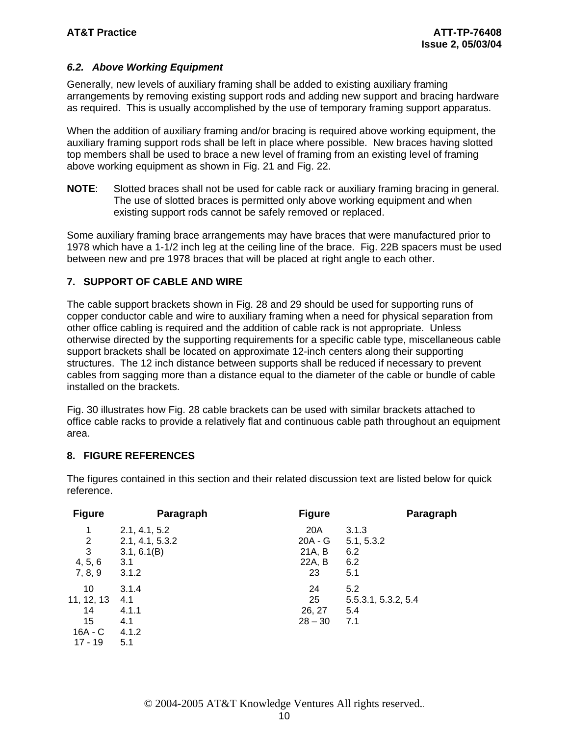# *6.2. Above Working Equipment*

Generally, new levels of auxiliary framing shall be added to existing auxiliary framing arrangements by removing existing support rods and adding new support and bracing hardware as required. This is usually accomplished by the use of temporary framing support apparatus.

When the addition of auxiliary framing and/or bracing is required above working equipment, the auxiliary framing support rods shall be left in place where possible. New braces having slotted top members shall be used to brace a new level of framing from an existing level of framing above working equipment as shown in Fig. 21 and Fig. 22.

**NOTE**: Slotted braces shall not be used for cable rack or auxiliary framing bracing in general. The use of slotted braces is permitted only above working equipment and when existing support rods cannot be safely removed or replaced.

Some auxiliary framing brace arrangements may have braces that were manufactured prior to 1978 which have a 1-1/2 inch leg at the ceiling line of the brace. Fig. 22B spacers must be used between new and pre 1978 braces that will be placed at right angle to each other.

### **7. SUPPORT OF CABLE AND WIRE**

The cable support brackets shown in Fig. 28 and 29 should be used for supporting runs of copper conductor cable and wire to auxiliary framing when a need for physical separation from other office cabling is required and the addition of cable rack is not appropriate. Unless otherwise directed by the supporting requirements for a specific cable type, miscellaneous cable support brackets shall be located on approximate 12-inch centers along their supporting structures. The 12 inch distance between supports shall be reduced if necessary to prevent cables from sagging more than a distance equal to the diameter of the cable or bundle of cable installed on the brackets.

Fig. 30 illustrates how Fig. 28 cable brackets can be used with similar brackets attached to office cable racks to provide a relatively flat and continuous cable path throughout an equipment area.

#### **8. FIGURE REFERENCES**

The figures contained in this section and their related discussion text are listed below for quick reference.

| <b>Figure</b>                                          | Paragraph                                                       | <b>Figure</b>                              | Paragraph                                |
|--------------------------------------------------------|-----------------------------------------------------------------|--------------------------------------------|------------------------------------------|
| 1<br>2<br>3<br>4, 5, 6<br>7, 8, 9                      | 2.1, 4.1, 5.2<br>2.1, 4.1, 5.3.2<br>3.1, 6.1(B)<br>3.1<br>3.1.2 | 20A<br>$20A - G$<br>21A, B<br>22A, B<br>23 | 3.1.3<br>5.1, 5.3.2<br>6.2<br>6.2<br>5.1 |
| 10<br>11, 12, 13<br>14<br>15<br>$16A - C$<br>$17 - 19$ | 3.1.4<br>4.1<br>4.1.1<br>4.1<br>4.1.2<br>5.1                    | 24<br>25<br>26, 27<br>$28 - 30$            | 5.2<br>5.5.3.1, 5.3.2, 5.4<br>5.4<br>7.1 |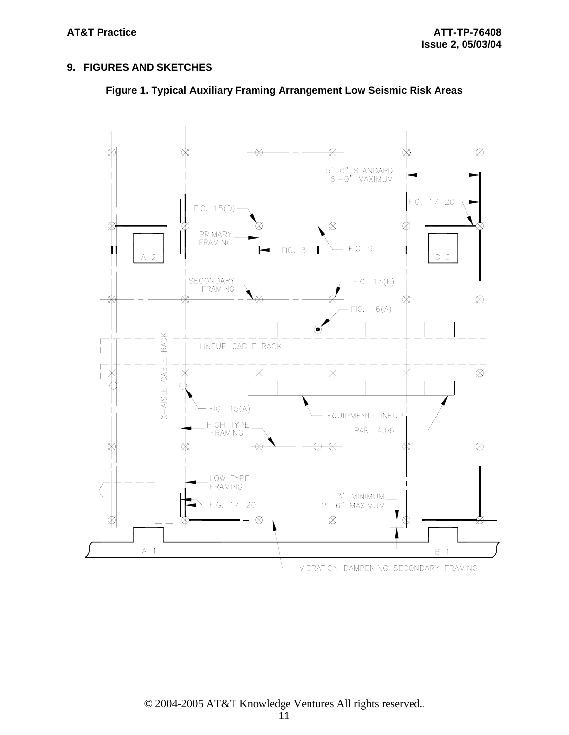## **9. FIGURES AND SKETCHES**



**Figure 1. Typical Auxiliary Framing Arrangement Low Seismic Risk Areas**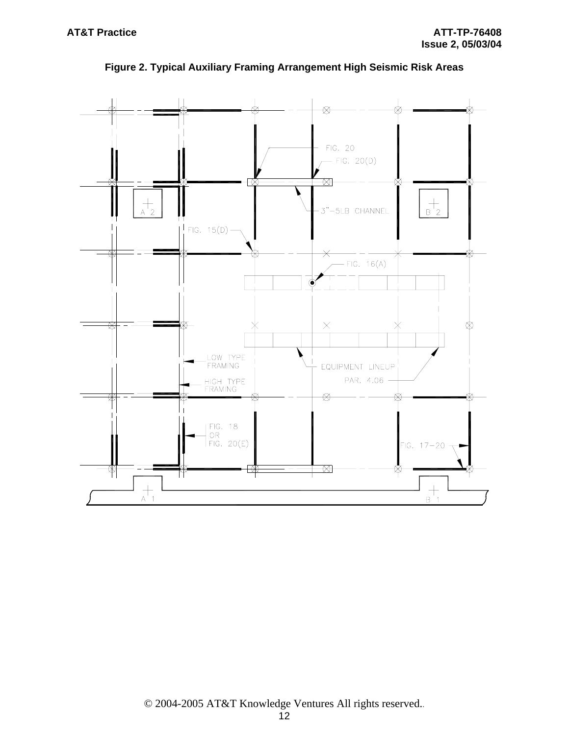

**Figure 2. Typical Auxiliary Framing Arrangement High Seismic Risk Areas**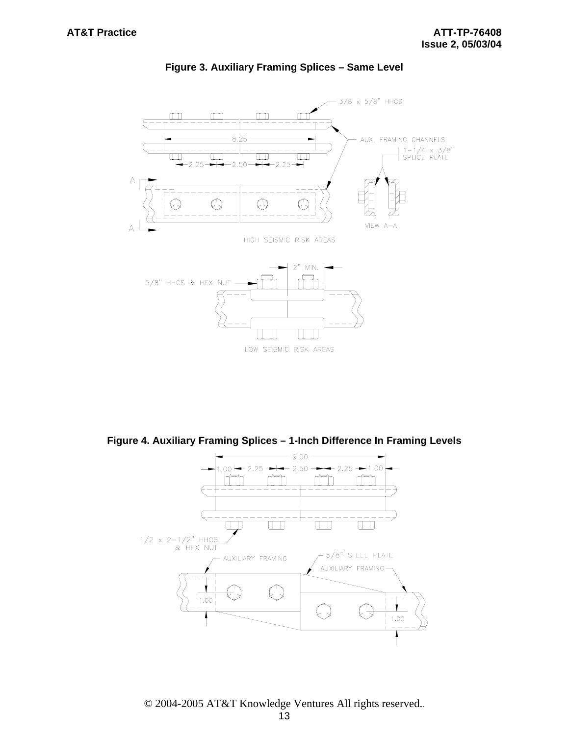

#### **Figure 3. Auxiliary Framing Splices – Same Level**

**Figure 4. Auxiliary Framing Splices – 1-Inch Difference In Framing Levels** 

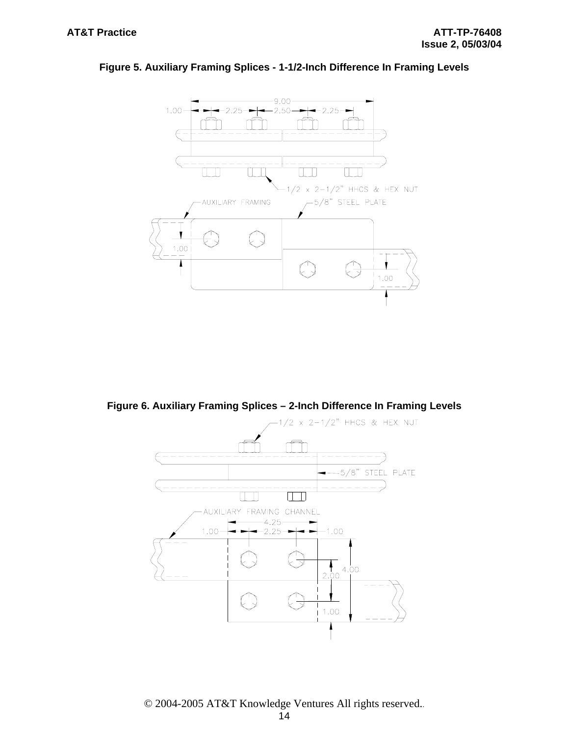

#### **Figure 5. Auxiliary Framing Splices - 1-1/2-Inch Difference In Framing Levels**

**Figure 6. Auxiliary Framing Splices – 2-Inch Difference In Framing Levels** 

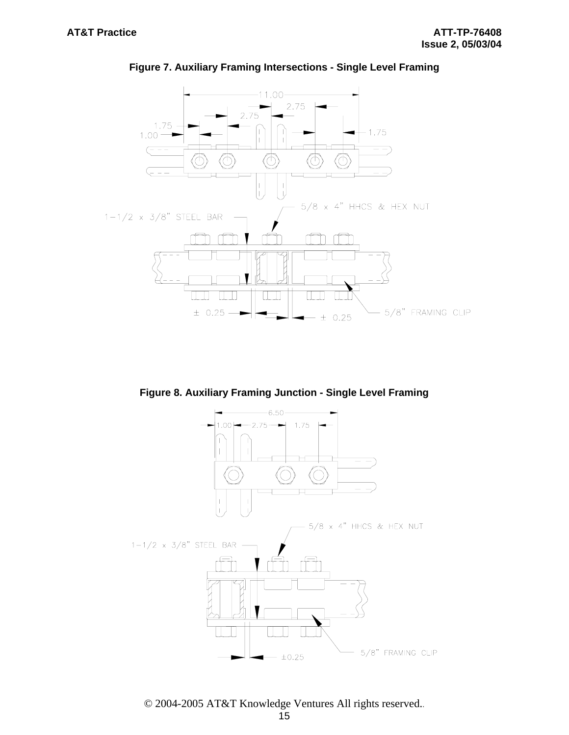

#### **Figure 7. Auxiliary Framing Intersections - Single Level Framing**

**Figure 8. Auxiliary Framing Junction - Single Level Framing** 



© 2004-2005 AT&T Knowledge Ventures All rights reserved..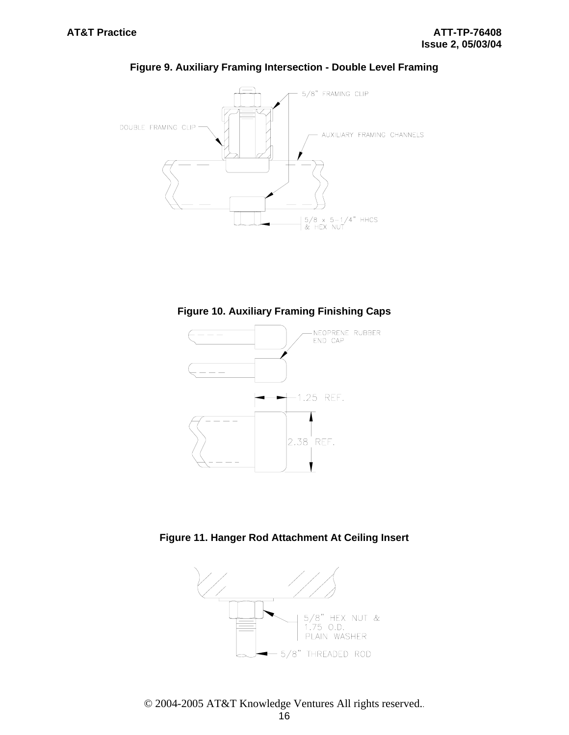

## **Figure 9. Auxiliary Framing Intersection - Double Level Framing**





**Figure 11. Hanger Rod Attachment At Ceiling Insert** 

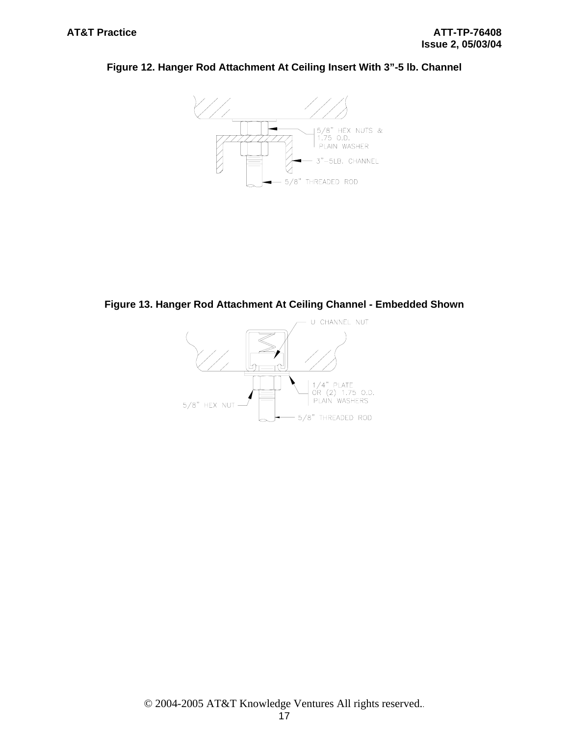



**Figure 13. Hanger Rod Attachment At Ceiling Channel - Embedded Shown** 

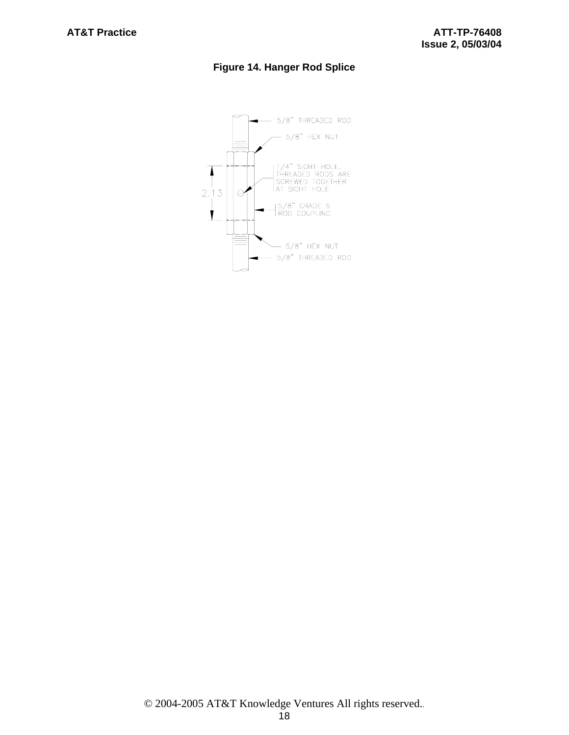# **Figure 14. Hanger Rod Splice**

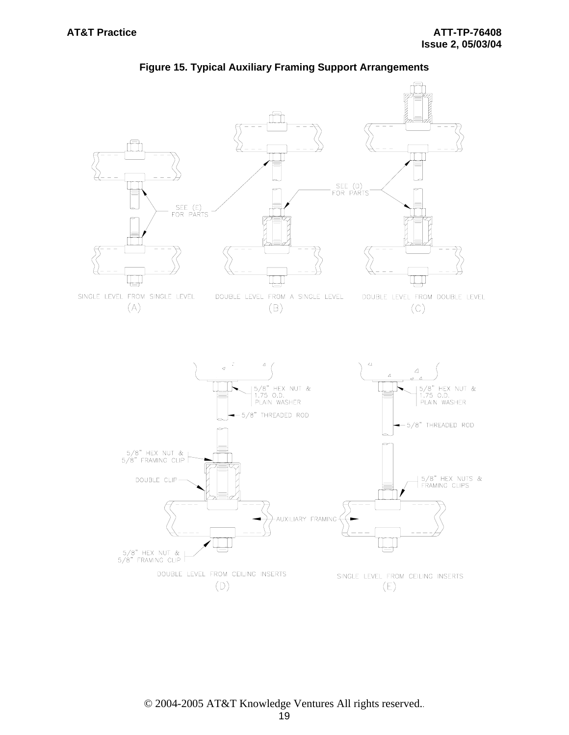

#### **Figure 15. Typical Auxiliary Framing Support Arrangements**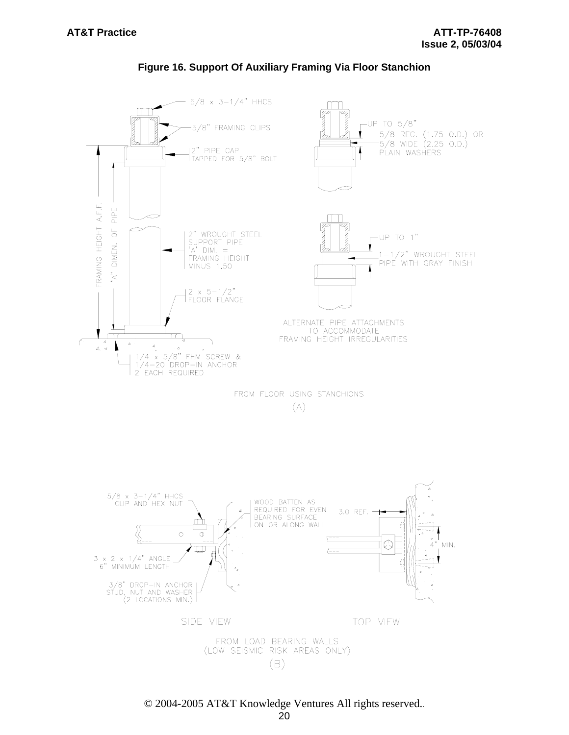

#### **Figure 16. Support Of Auxiliary Framing Via Floor Stanchion**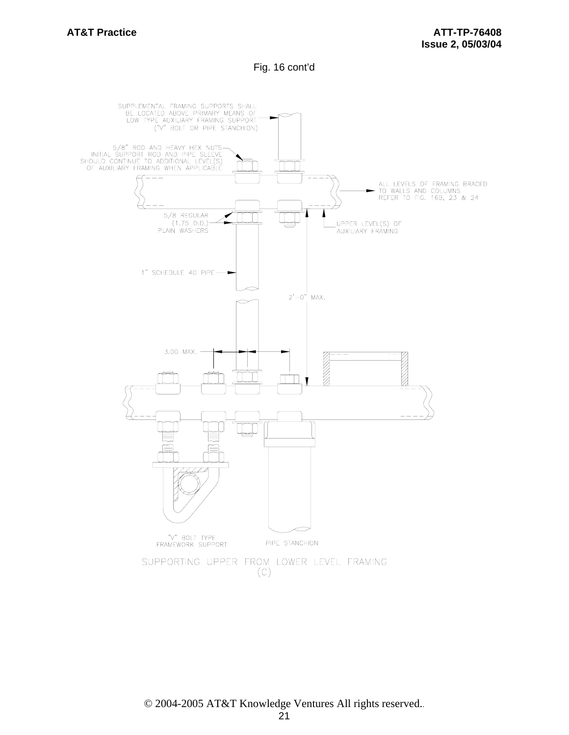Fig. 16 cont'd

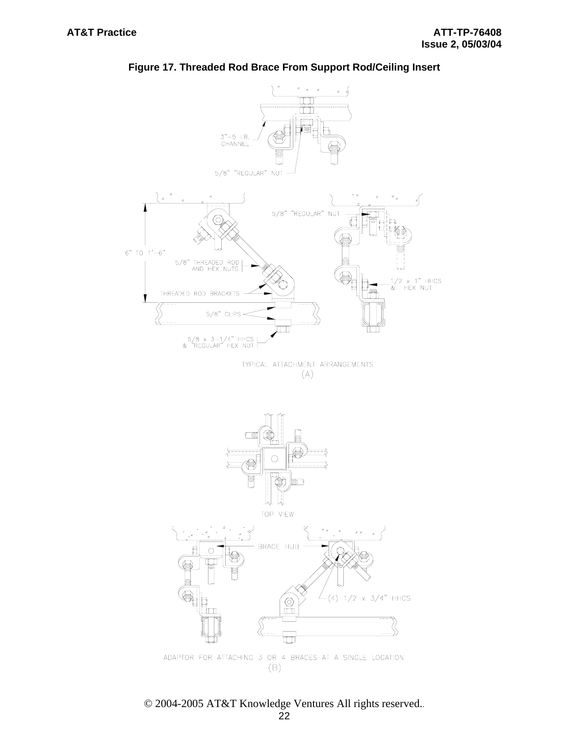

# **Figure 17. Threaded Rod Brace From Support Rod/Ceiling Insert**

© 2004-2005 AT&T Knowledge Ventures All rights reserved..

(о

 $\Box$ 

ADAPTOR FOR ATTACHING 3 OR 4 BRACES AT A SINGLE LOCATION  $(B)$ 

 $(4)$  1/2 x 3/4" HHCS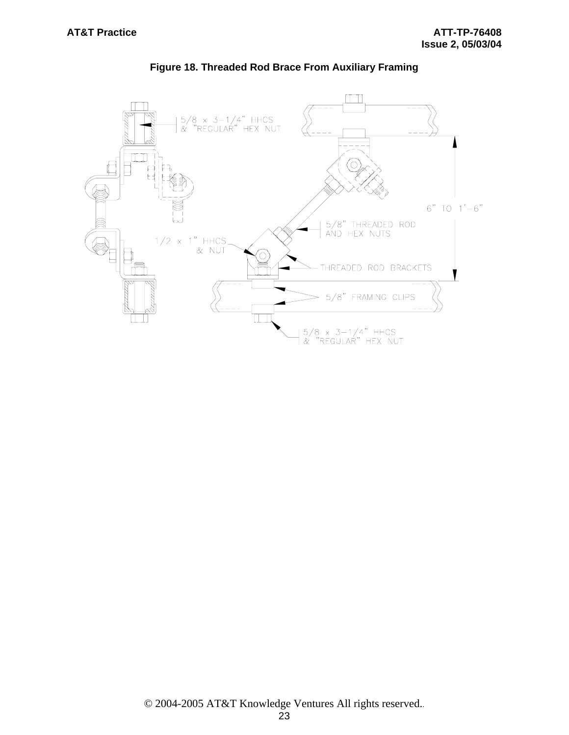

**Figure 18. Threaded Rod Brace From Auxiliary Framing**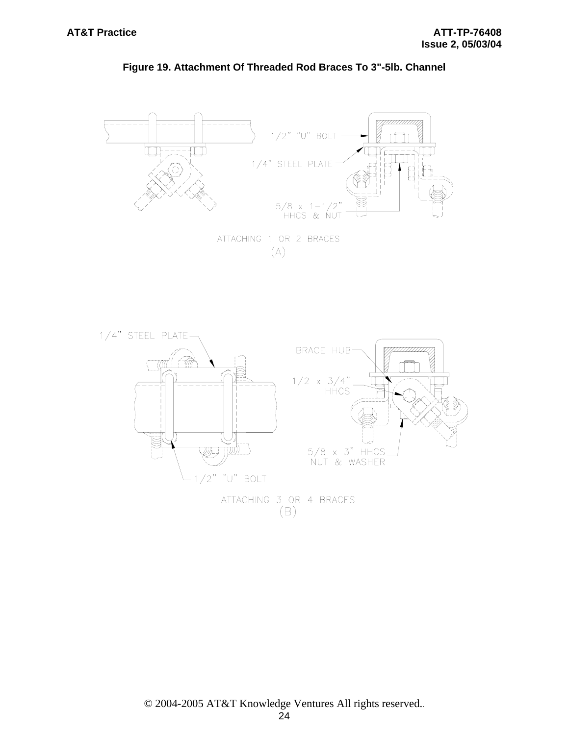

# **Figure 19. Attachment Of Threaded Rod Braces To 3"-5lb. Channel**

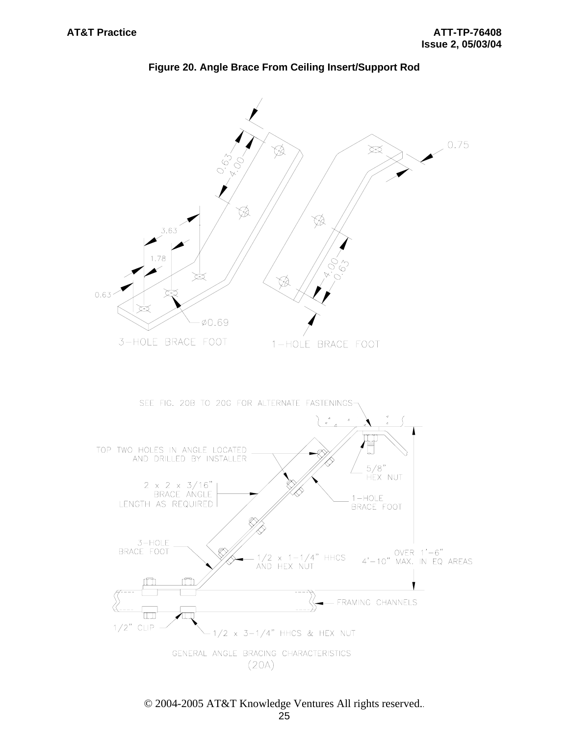

**Figure 20. Angle Brace From Ceiling Insert/Support Rod**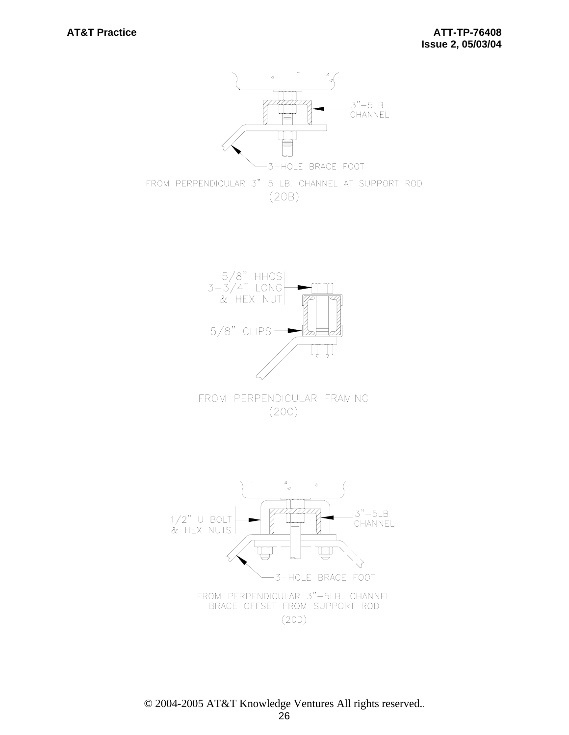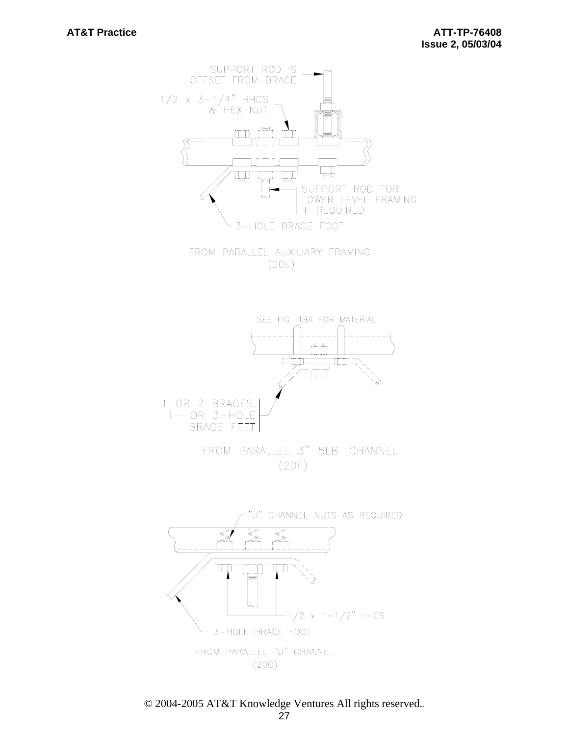

FROM PARALLEL AUXILIARY FRAMING  $(20E)$ 

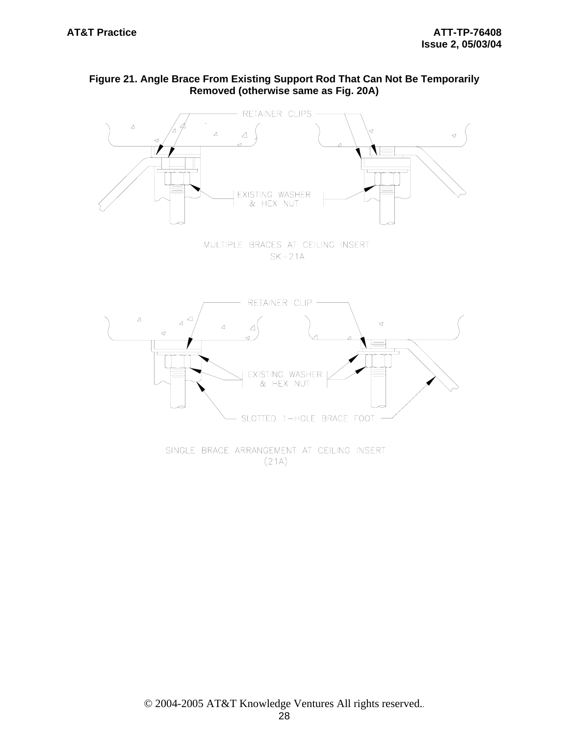# **Figure 21. Angle Brace From Existing Support Rod That Can Not Be Temporarily Removed (otherwise same as Fig. 20A)**



SINGLE BRACE ARRANGEMENT AT CEILING INSERT  $(21A)$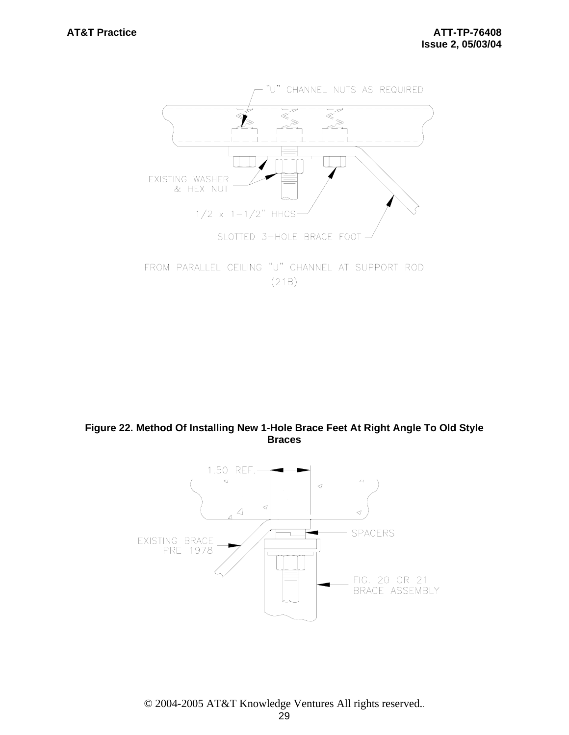

FROM PARALLEL CEILING "U" CHANNEL AT SUPPORT ROD  $(21B)$ 

# **Figure 22. Method Of Installing New 1-Hole Brace Feet At Right Angle To Old Style Braces**

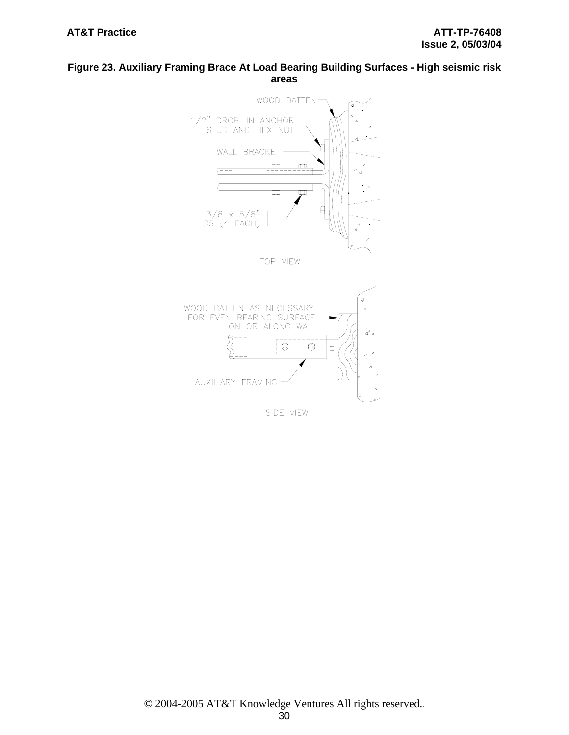### **Figure 23. Auxiliary Framing Brace At Load Bearing Building Surfaces - High seismic risk areas**



 $\overline{a}$ 

 $\circledcirc$ 

 $\theta$ 

 $\bigcirc$ 

SIDE VIEW

AUXILIARY FRAMING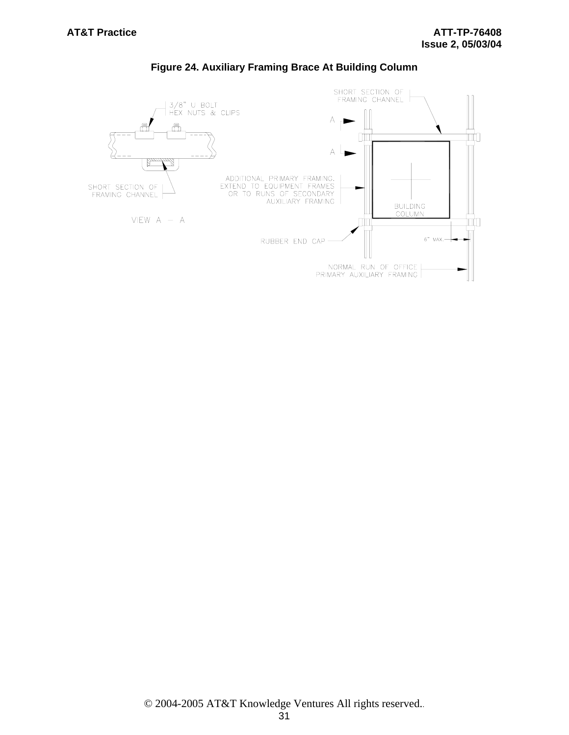

# **Figure 24. Auxiliary Framing Brace At Building Column**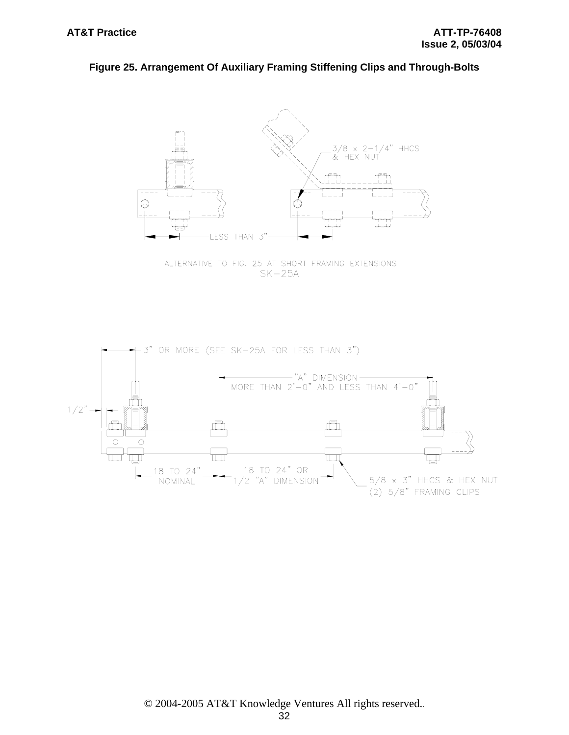#### **Figure 25. Arrangement Of Auxiliary Framing Stiffening Clips and Through-Bolts**



ALTERNATIVE TO FIG. 25 AT SHORT FRAMING EXTENSIONS  $SK-25A$ 

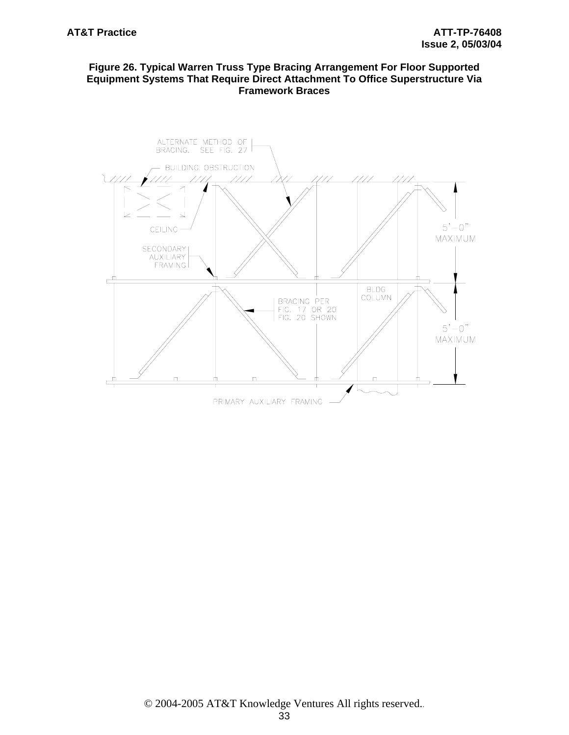# **Figure 26. Typical Warren Truss Type Bracing Arrangement For Floor Supported Equipment Systems That Require Direct Attachment To Office Superstructure Via Framework Braces**

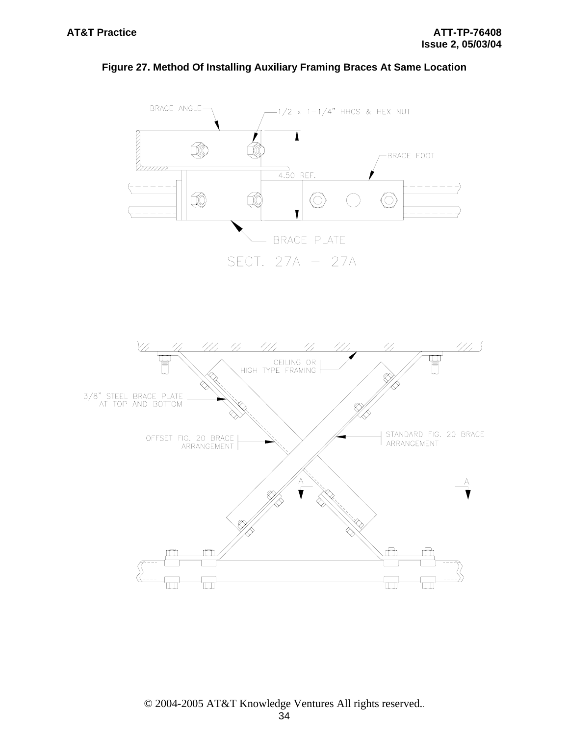



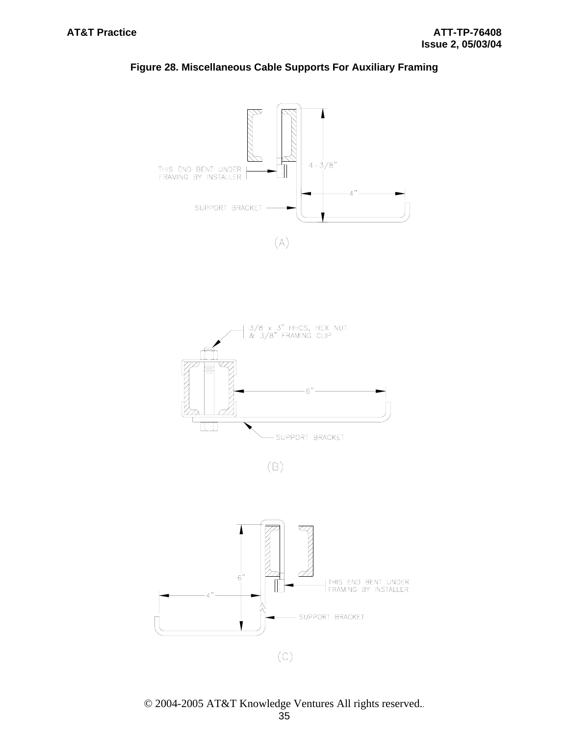



© 2004-2005 AT&T Knowledge Ventures All rights reserved..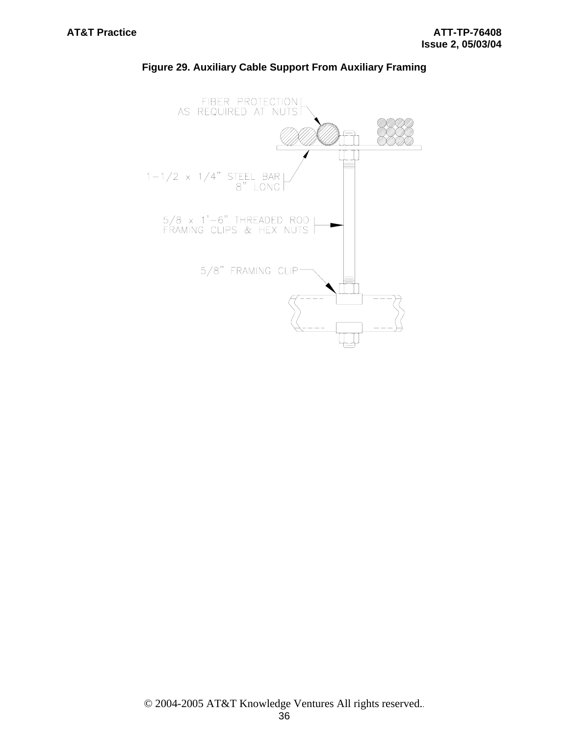

## **Figure 29. Auxiliary Cable Support From Auxiliary Framing**